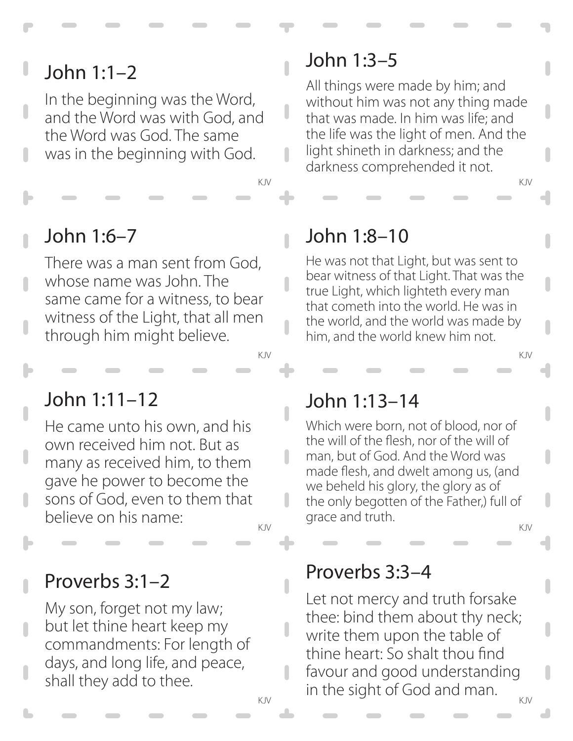# John 1:1–2

In the beginning was the Word, and the Word was with God, and the Word was God. The same was in the beginning with God.

## John 1:6–7

There was a man sent from God, whose name was John. The same came for a witness, to bear witness of the Light, that all men through him might believe.

# John 1:11–12

He came unto his own, and his own received him not. But as many as received him, to them gave he power to become the sons of God, even to them that believe on his name:

Proverbs 3:1–2

My son, forget not my law; but let thine heart keep my commandments: For length of days, and long life, and peace, shall they add to thee.

# John 1:3–5

 $\overline{\phantom{a}}$ 

 $\overline{\phantom{a}}$ 

n

П

ı

All things were made by him; and without him was not any thing made that was made. In him was life; and the life was the light of men. And the light shineth in darkness; and the darkness comprehended it not.

KJV KJV

## John 1:8–10

He was not that Light, but was sent to bear witness of that Light. That was the true Light, which lighteth every man that cometh into the world. He was in the world, and the world was made by him, and the world knew him not.

KJV KJV

#### John 1:13–14

Which were born, not of blood, nor of the will of the flesh, nor of the will of man, but of God. And the Word was made flesh, and dwelt among us, (and we beheld his glory, the glory as of the only begotten of the Father,) full of grace and truth.

KJV KJV

#### Proverbs 3:3–4

KJV KJV Let not mercy and truth forsake thee: bind them about thy neck; write them upon the table of thine heart: So shalt thou find favour and good understanding in the sight of God and man.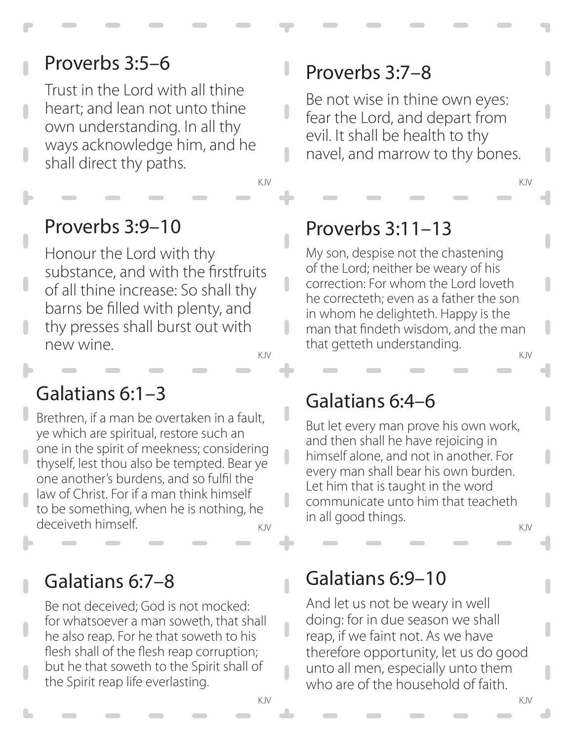## Proverbs 3:5–6

Trust in the Lord with all thine heart; and lean not unto thine own understanding. In all thy ways acknowledge him, and he shall direct thy paths.

KJV KJV

 $\overline{\phantom{a}}$ 

ı

 $\overline{\phantom{a}}$ 

 $\overline{\phantom{a}}$ 

### Proverbs 3:9–10

Honour the Lord with thy substance, and with the firstfruits of all thine increase: So shall thy barns be filled with plenty, and thy presses shall burst out with new wine.

#### Galatians 6:1–3

Brethren, if a man be overtaken in a fault, ye which are spiritual, restore such an one in the spirit of meekness; considering thyself, lest thou also be tempted. Bear ye one another's burdens, and so fulfil the law of Christ. For if a man think himself to be something, when he is nothing, he deceiveth himself.

#### Galatians 6:7–8

Be not deceived; God is not mocked: for whatsoever a man soweth, that shall he also reap. For he that soweth to his flesh shall of the flesh reap corruption; but he that soweth to the Spirit shall of the Spirit reap life everlasting.

## Proverbs 3:7–8

Be not wise in thine own eyes: fear the Lord, and depart from evil. It shall be health to thy navel, and marrow to thy bones.

## Proverbs 3:11–13

KJV KJV My son, despise not the chastening of the Lord; neither be weary of his correction: For whom the Lord loveth he correcteth; even as a father the son in whom he delighteth. Happy is the man that findeth wisdom, and the man that getteth understanding.

#### Galatians 6:4–6

KJV KJV But let every man prove his own work, and then shall he have rejoicing in himself alone, and not in another. For every man shall bear his own burden. Let him that is taught in the word communicate unto him that teacheth in all good things.

#### Galatians 6:9–10

And let us not be weary in well doing: for in due season we shall reap, if we faint not. As we have therefore opportunity, let us do good unto all men, especially unto them who are of the household of faith.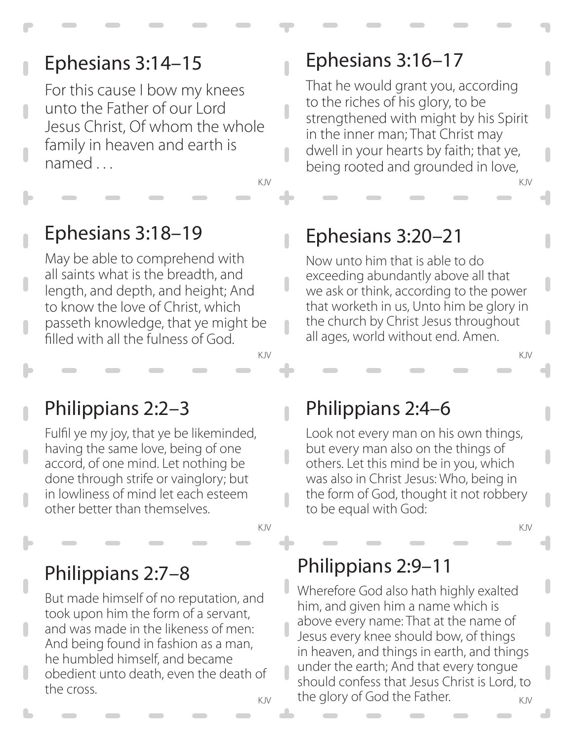# Ephesians 3:14–15

For this cause I bow my knees unto the Father of our Lord Jesus Christ, Of whom the whole family in heaven and earth is named . . .

KJV KJV

n

 $\overline{\phantom{a}}$ 

 $\overline{\phantom{a}}$ 

# Ephesians 3:18–19

May be able to comprehend with all saints what is the breadth, and length, and depth, and height; And to know the love of Christ, which passeth knowledge, that ye might be filled with all the fulness of God.

# Philippians 2:2–3

Fulfil ye my joy, that ye be likeminded, having the same love, being of one accord, of one mind. Let nothing be done through strife or vainglory; but in lowliness of mind let each esteem other better than themselves.

#### Philippians 2:7–8

But made himself of no reputation, and took upon him the form of a servant, and was made in the likeness of men: And being found in fashion as a man, he humbled himself, and became obedient unto death, even the death of the cross.

# Ephesians 3:16–17

That he would grant you, according to the riches of his glory, to be strengthened with might by his Spirit in the inner man; That Christ may dwell in your hearts by faith; that ye, being rooted and grounded in love,

# Ephesians 3:20–21

Now unto him that is able to do exceeding abundantly above all that we ask or think, according to the power that worketh in us, Unto him be glory in the church by Christ Jesus throughout all ages, world without end. Amen.

## Philippians 2:4–6

KJV KJV

Look not every man on his own things, but every man also on the things of others. Let this mind be in you, which was also in Christ Jesus: Who, being in the form of God, thought it not robbery to be equal with God:

# Philippians 2:9–11

KJV KJV

 $_{\text{KJV}}$  the glory of God the Father.  $_{\text{KJV}}$ Wherefore God also hath highly exalted him, and given him a name which is above every name: That at the name of Jesus every knee should bow, of things in heaven, and things in earth, and things under the earth; And that every tongue should confess that Jesus Christ is Lord, to